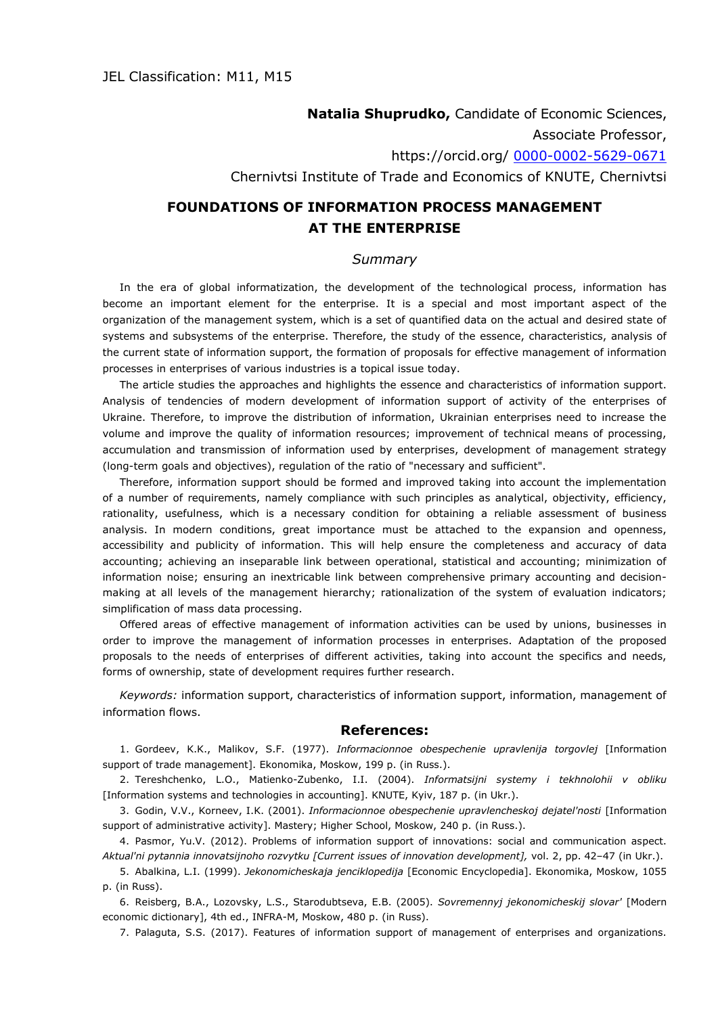**Natalia Shuprudko,** Candidate of Economic Sciences, Associate Professor, https://orcid.org/ [0000-0002-5629-0671](https://orcid.org/0000-0002-5629-0671) Chernivtsi Institute of Trade and Economics of KNUTE, Chernivtsi

## **FOUNDATIONS OF INFORMATION PROCESS MANAGEMENT AT THE ENTERPRISE**

## *Summary*

In the era of global informatization, the development of the technological process, information has become an important element for the enterprise. It is a special and most important aspect of the organization of the management system, which is a set of quantified data on the actual and desired state of systems and subsystems of the enterprise. Therefore, the study of the essence, characteristics, analysis of the current state of information support, the formation of proposals for effective management of information processes in enterprises of various industries is a topical issue today.

The article studies the approaches and highlights the essence and characteristics of information support. Analysis of tendencies of modern development of information support of activity of the enterprises of Ukraine. Therefore, to improve the distribution of information, Ukrainian enterprises need to increase the volume and improve the quality of information resources; improvement of technical means of processing, accumulation and transmission of information used by enterprises, development of management strategy (long-term goals and objectives), regulation of the ratio of "necessary and sufficient".

Therefore, information support should be formed and improved taking into account the implementation of a number of requirements, namely compliance with such principles as analytical, objectivity, efficiency, rationality, usefulness, which is a necessary condition for obtaining a reliable assessment of business analysis. In modern conditions, great importance must be attached to the expansion and openness, accessibility and publicity of information. This will help ensure the completeness and accuracy of data accounting; achieving an inseparable link between operational, statistical and accounting; minimization of information noise; ensuring an inextricable link between comprehensive primary accounting and decisionmaking at all levels of the management hierarchy; rationalization of the system of evaluation indicators; simplification of mass data processing.

Offered areas of effective management of information activities can be used by unions, businesses in order to improve the management of information processes in enterprises. Adaptation of the proposed proposals to the needs of enterprises of different activities, taking into account the specifics and needs, forms of ownership, state of development requires further research.

*Keywords:* information support, characteristics of information support, information, management of information flows.

## **References:**

1. Gordeev, K.K., Malikov, S.F. (1977). *Informacionnoe obespechenie upravlenija torgovlej* [Information support of trade management]. Ekonomika, Moskow, 199 p. (in Russ.).

2. Tereshchenko, L.O., Matienko-Zubenko, I.I. (2004). *Informatsijni systemy i tekhnolohii v obliku*  [Information systems and technologies in accounting]. KNUTE, Kyiv, 187 p. (in Ukr.).

3. Godin, V.V., Korneev, I.K. (2001). *Informacionnoe obespechenie upravlencheskoj dejatel'nosti* [Information support of administrative activity]. Mastery; Higher School, Moskow, 240 p. (in Russ.).

4. Pasmor, Yu.V. (2012). Problems of information support of innovations: social and communication aspect. *Aktual'ni pytannia innovatsijnoho rozvytku [Current issues of innovation development],* vol. 2, pp. 42–47 (in Ukr.).

5. Abalkina, L.I. (1999). *Jekonomicheskaja jenciklopedija* [Economic Encyclopedia]. Ekonomika, Moskow, 1055 p. (in Russ).

6. Reisberg, B.A., Lozovsky, L.S., Starodubtseva, E.B. (2005). *Sovremennyj jekonomicheskij slovar'* [Modern economic dictionary], 4th ed., INFRA-M, Moskow, 480 p. (in Russ).

7. Palaguta, S.S. (2017). Features of information support of management of enterprises and organizations.